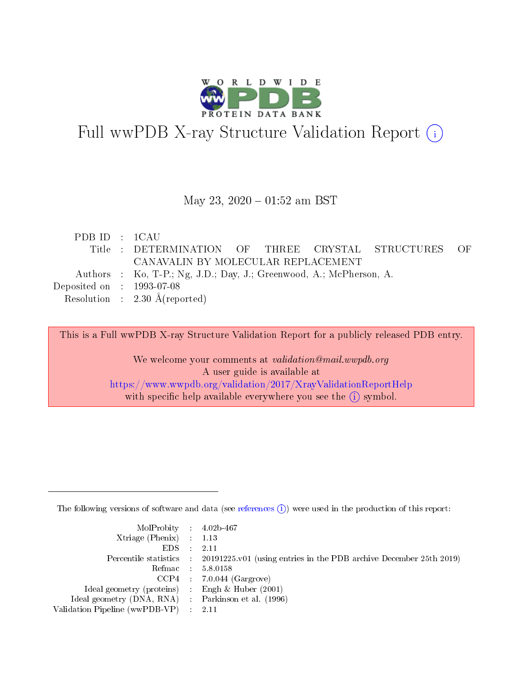

# Full wwPDB X-ray Structure Validation Report (i)

#### May 23,  $2020 - 01:52$  am BST

| PDB ID : 1CAU                  |                                                                     |  |
|--------------------------------|---------------------------------------------------------------------|--|
|                                | Title : DETERMINATION OF THREE CRYSTAL STRUCTURES OF                |  |
|                                | CANAVALIN BY MOLECULAR REPLACEMENT                                  |  |
|                                | Authors : Ko, T-P.; Ng, J.D.; Day, J.; Greenwood, A.; McPherson, A. |  |
| Deposited on $\,$ : 1993-07-08 |                                                                     |  |
|                                | Resolution : $2.30 \text{ Å}$ (reported)                            |  |

This is a Full wwPDB X-ray Structure Validation Report for a publicly released PDB entry.

We welcome your comments at validation@mail.wwpdb.org A user guide is available at <https://www.wwpdb.org/validation/2017/XrayValidationReportHelp> with specific help available everywhere you see the  $(i)$  symbol.

The following versions of software and data (see [references](https://www.wwpdb.org/validation/2017/XrayValidationReportHelp#references)  $(i)$ ) were used in the production of this report:

| $MolProbability$ 4.02b-467                          |                                                                                            |
|-----------------------------------------------------|--------------------------------------------------------------------------------------------|
| Xtriage (Phenix) $: 1.13$                           |                                                                                            |
| $EDS$ :                                             | -2.11                                                                                      |
|                                                     | Percentile statistics : 20191225.v01 (using entries in the PDB archive December 25th 2019) |
|                                                     | Refmac : 5.8.0158                                                                          |
|                                                     | $CCP4$ : 7.0.044 (Gargrove)                                                                |
| Ideal geometry (proteins) : Engh $\&$ Huber (2001)  |                                                                                            |
| Ideal geometry (DNA, RNA) : Parkinson et al. (1996) |                                                                                            |
| Validation Pipeline (wwPDB-VP)                      | -2.11                                                                                      |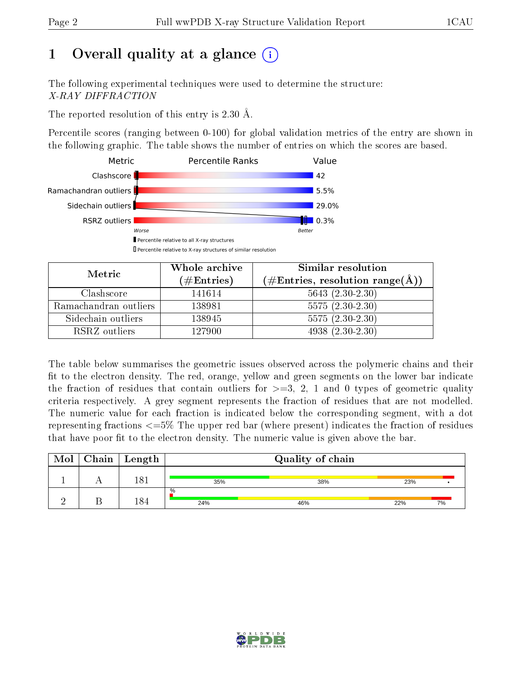## 1 [O](https://www.wwpdb.org/validation/2017/XrayValidationReportHelp#overall_quality)verall quality at a glance  $(i)$

The following experimental techniques were used to determine the structure: X-RAY DIFFRACTION

The reported resolution of this entry is 2.30 Å.

Percentile scores (ranging between 0-100) for global validation metrics of the entry are shown in the following graphic. The table shows the number of entries on which the scores are based.



| Metric                | Whole archive<br>$(\#\mathrm{Entries})$ | Similar resolution<br>$(\#\text{Entries}, \text{resolution range}(\text{\AA}))$ |  |  |
|-----------------------|-----------------------------------------|---------------------------------------------------------------------------------|--|--|
| Clashscore            | 141614                                  | $5643(2.30-2.30)$                                                               |  |  |
| Ramachandran outliers | 138981                                  | $5575(2.30-2.30)$                                                               |  |  |
| Sidechain outliers    | 138945                                  | $5575(2.30-2.30)$                                                               |  |  |
| RSRZ outliers         | 127900                                  | $4938(2.30-2.30)$                                                               |  |  |

The table below summarises the geometric issues observed across the polymeric chains and their fit to the electron density. The red, orange, yellow and green segments on the lower bar indicate the fraction of residues that contain outliers for  $\geq=3$ , 2, 1 and 0 types of geometric quality criteria respectively. A grey segment represents the fraction of residues that are not modelled. The numeric value for each fraction is indicated below the corresponding segment, with a dot representing fractions  $\epsilon=5\%$  The upper red bar (where present) indicates the fraction of residues that have poor fit to the electron density. The numeric value is given above the bar.

| Mol | Chain   Length |          | Quality of chain |     |    |
|-----|----------------|----------|------------------|-----|----|
|     | 181            | 35%      | 38%              | 23% |    |
|     | 18/            | %<br>24% | 46%              | 22% | 7% |

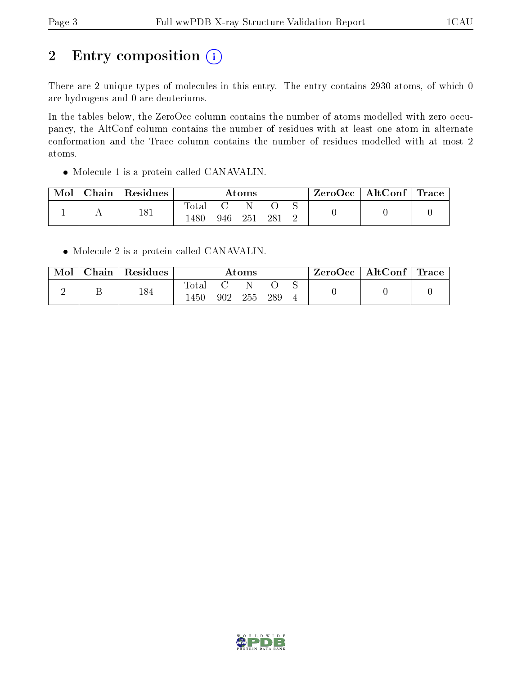## 2 Entry composition (i)

There are 2 unique types of molecules in this entry. The entry contains 2930 atoms, of which 0 are hydrogens and 0 are deuteriums.

In the tables below, the ZeroOcc column contains the number of atoms modelled with zero occupancy, the AltConf column contains the number of residues with at least one atom in alternate conformation and the Trace column contains the number of residues modelled with at most 2 atoms.

Molecule 1 is a protein called CANAVALIN.

| Mol | Chain   Residues | $\rm{Atoms}$ |     |     |    |  | ZeroOcc   AltConf   Trace |  |
|-----|------------------|--------------|-----|-----|----|--|---------------------------|--|
|     | 181              | 'otal        |     |     |    |  |                           |  |
|     |                  | 480          | 946 | 251 | 28 |  |                           |  |

• Molecule 2 is a protein called CANAVALIN.

| Mol | $\cap$ hain , | Residues | Atoms  |     |     | ZeroOcc∣ | $\mid$ AltConf $\mid$ Trace |  |  |  |
|-----|---------------|----------|--------|-----|-----|----------|-----------------------------|--|--|--|
|     |               | 184      | l'ota. |     |     |          |                             |  |  |  |
|     |               |          | 1450   | 902 | 255 | 289      |                             |  |  |  |

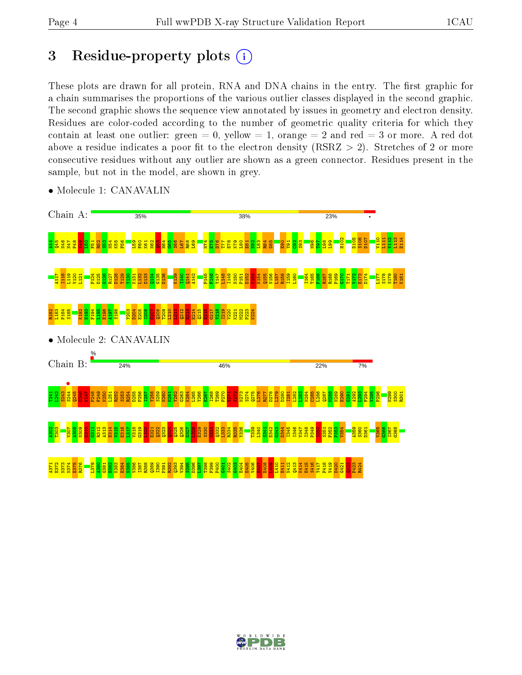### 3 Residue-property plots  $(i)$

These plots are drawn for all protein, RNA and DNA chains in the entry. The first graphic for a chain summarises the proportions of the various outlier classes displayed in the second graphic. The second graphic shows the sequence view annotated by issues in geometry and electron density. Residues are color-coded according to the number of geometric quality criteria for which they contain at least one outlier: green  $= 0$ , yellow  $= 1$ , orange  $= 2$  and red  $= 3$  or more. A red dot above a residue indicates a poor fit to the electron density (RSRZ  $> 2$ ). Stretches of 2 or more consecutive residues without any outlier are shown as a green connector. Residues present in the sample, but not in the model, are shown in grey.



• Molecule 1: CANAVALIN

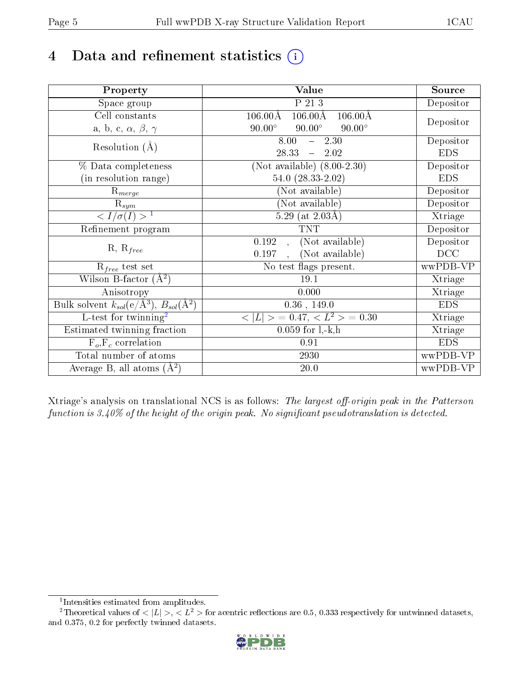## 4 Data and refinement statistics  $(i)$

| Property                                                   | Value                                                          | Source     |
|------------------------------------------------------------|----------------------------------------------------------------|------------|
| Space group                                                | P 21 3                                                         | Depositor  |
| Cell constants                                             | $106.00\text{\AA}$<br>$106.00\text{\AA}$<br>$106.00\text{\AA}$ |            |
| a, b, c, $\alpha$ , $\beta$ , $\gamma$                     | $90.00^\circ$<br>$90.00^\circ$<br>$90.00^\circ$                | Depositor  |
| Resolution $(A)$                                           | 8.00<br>$-2.30$                                                | Depositor  |
|                                                            | 28.33<br>2.02<br>$\equiv$                                      | <b>EDS</b> |
| % Data completeness                                        | (Not available) $(8.00-2.30)$                                  | Depositor  |
| (in resolution range)                                      | 54.0 $(28.33-2.02)$                                            | <b>EDS</b> |
| $\mathrm{R}_{merge}$                                       | (Not available)                                                | Depositor  |
| $\mathrm{R}_{sym}$                                         | (Not available)                                                | Depositor  |
| $\sqrt{I/\sigma(I)} > 1$                                   | 5.29 (at $2.03\text{\AA}$ )                                    | Xtriage    |
| Refinement program                                         | <b>TNT</b>                                                     | Depositor  |
|                                                            | (Not available)<br>0.192<br>$\mathcal{A}^{\pm}$                | Depositor  |
| $R, R_{free}$                                              | (Not available)<br>0.197<br>$\ddot{\phantom{a}}$               | DCC        |
| $R_{free}$ test set                                        | No test flags present.                                         | wwPDB-VP   |
| Wilson B-factor $(A^2)$                                    | 19.1                                                           | Xtriage    |
| Anisotropy                                                 | 0.000                                                          | Xtriage    |
| Bulk solvent $k_{sol}$ (e/Å <sup>3</sup> ), $B_{sol}(A^2)$ | $0.36$ , $149.0$                                               | <b>EDS</b> |
| $\overline{L-test for }$ twinning <sup>2</sup>             | $< L >$ = 0.47, $< L2 >$ = 0.30                                | Xtriage    |
| Estimated twinning fraction                                | $0.059$ for $1, -k, h$                                         | Xtriage    |
| $F_o, F_c$ correlation                                     | 0.91                                                           | <b>EDS</b> |
| Total number of atoms                                      | 2930                                                           | wwPDB-VP   |
| Average B, all atoms $(A^2)$                               | $20.0\,$                                                       | wwPDB-VP   |

Xtriage's analysis on translational NCS is as follows: The largest off-origin peak in the Patterson function is  $3.40\%$  of the height of the origin peak. No significant pseudotranslation is detected.

<sup>&</sup>lt;sup>2</sup>Theoretical values of  $\langle |L| \rangle$ ,  $\langle L^2 \rangle$  for acentric reflections are 0.5, 0.333 respectively for untwinned datasets, and 0.375, 0.2 for perfectly twinned datasets.



<span id="page-4-1"></span><span id="page-4-0"></span><sup>1</sup> Intensities estimated from amplitudes.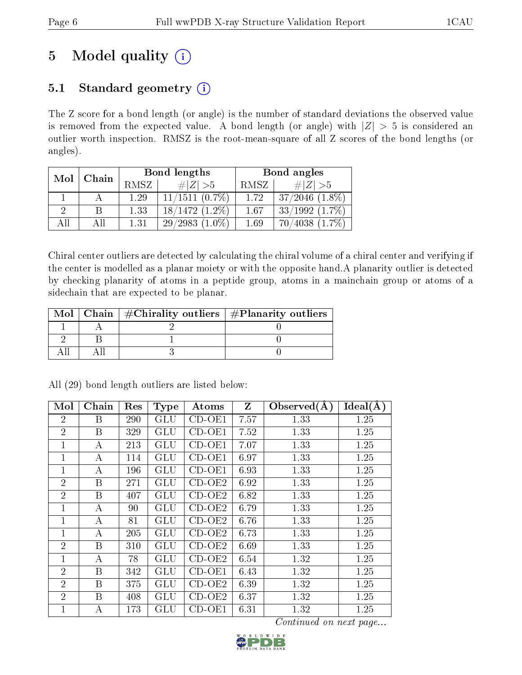## 5 Model quality  $(i)$

### 5.1 Standard geometry  $(i)$

The Z score for a bond length (or angle) is the number of standard deviations the observed value is removed from the expected value. A bond length (or angle) with  $|Z| > 5$  is considered an outlier worth inspection. RMSZ is the root-mean-square of all Z scores of the bond lengths (or angles).

| Mol | Chain |      | Bond lengths         | Bond angles |                           |  |
|-----|-------|------|----------------------|-------------|---------------------------|--|
|     |       | RMSZ | $\ Z\  > 5$          | RMSZ        | $\# Z  > 5$               |  |
|     |       | 1.29 | $11/1511$ $(0.7\%)$  | 1.72        | $37/2046$ $(1.8\%)$       |  |
|     | R     | 1.33 | $18/1472(1.2\%)$     | 1.67        | $33/1992$ $(1.7\%)$       |  |
| 4 H | АH    | 1.31 | 29/2983<br>$(1.0\%)$ | 1.69        | $(1.7\%)$<br>$4038^\circ$ |  |

Chiral center outliers are detected by calculating the chiral volume of a chiral center and verifying if the center is modelled as a planar moiety or with the opposite hand.A planarity outlier is detected by checking planarity of atoms in a peptide group, atoms in a mainchain group or atoms of a sidechain that are expected to be planar.

| Mol | Chain   $\#\text{Chirality outliers}$   $\#\text{Planarity outliers}$ |  |
|-----|-----------------------------------------------------------------------|--|
|     |                                                                       |  |
|     |                                                                       |  |
|     |                                                                       |  |

| Mol            | Chain | Res | <b>Type</b> | Atoms    | $\mathbf{Z}$ | Observed $(A)$ | Ideal(A) |
|----------------|-------|-----|-------------|----------|--------------|----------------|----------|
| 2              | B     | 290 | GLU         | $CD-OE1$ | 7.57         | 1.33           | 1.25     |
| $\overline{2}$ | B     | 329 | GLU         | $CD-OE1$ | 7.52         | 1.33           | 1.25     |
| 1              | А     | 213 | GLU         | $CD-OE1$ | 7.07         | 1.33           | 1.25     |
| 1              | А     | 114 | GLU         | $CD-OE1$ | 6.97         | 1.33           | 1.25     |
| $\mathbf{1}$   | A     | 196 | GLU         | $CD-OE1$ | 6.93         | 1.33           | 1.25     |
| $\overline{2}$ | B     | 271 | GLU         | $CD-OE2$ | 6.92         | 1.33           | 1.25     |
| $\overline{2}$ | B     | 407 | GLU         | $CD-OE2$ | 6.82         | 1.33           | 1.25     |
| 1              | A     | 90  | GLU         | $CD-OE2$ | 6.79         | 1.33           | 1.25     |
| 1              | A     | 81  | <b>GLU</b>  | $CD-OE2$ | 6.76         | 1.33           | 1.25     |
| $\mathbf{1}$   | А     | 205 | GLU         | $CD-OE2$ | 6.73         | 1.33           | 1.25     |
| $\overline{2}$ | B     | 310 | GLU         | $CD-OE2$ | 6.69         | 1.33           | 1.25     |
| 1              | A     | 78  | GLU         | $CD-OE2$ | 6.54         | 1.32           | 1.25     |
| $\overline{2}$ | B     | 342 | GLU         | CD-OE1   | 6.43         | 1.32           | 1.25     |
| $\overline{2}$ | B     | 375 | GLU         | $CD-OE2$ | 6.39         | 1.32           | 1.25     |
| $\overline{2}$ | B     | 408 | GLU         | $CD-OE2$ | 6.37         | 1.32           | 1.25     |
| 1              | А     | 173 | GLU         | $CD-OE1$ | 6.31         | 1.32           | 1.25     |

All (29) bond length outliers are listed below:

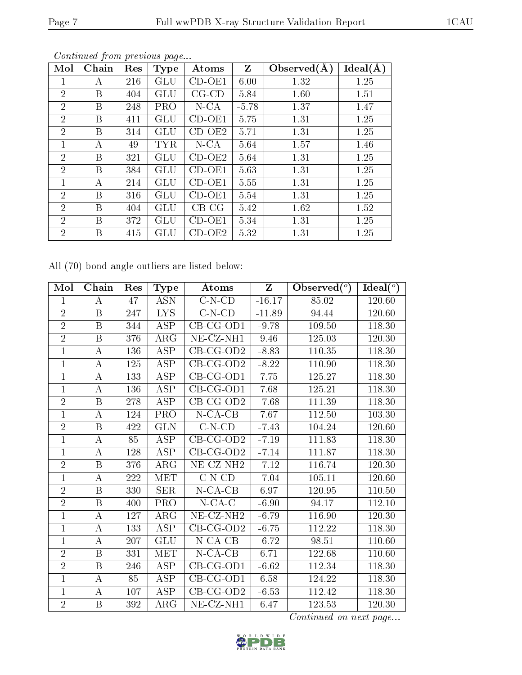| Mol            | Chain        | Res | <b>Type</b> | Atoms       | Z       | Observed $(A)$ | Ideal(A) |
|----------------|--------------|-----|-------------|-------------|---------|----------------|----------|
| 1              | A            | 216 | GLU         | $CD-OE1$    | 6.00    | 1.32           | 1.25     |
| $\overline{2}$ | B            | 404 | GLU         | $CG$ - $CD$ | 5.84    | 1.60           | 1.51     |
| $\overline{2}$ | B            | 248 | <b>PRO</b>  | $N$ -CA     | $-5.78$ | 1.37           | 1.47     |
| $\overline{2}$ | <sub>B</sub> | 411 | GLU         | $CD-OE1$    | 5.75    | 1.31           | 1.25     |
| $\overline{2}$ | B            | 314 | <b>GLU</b>  | $CD-OE2$    | 5.71    | 1.31           | 1.25     |
| $\mathbf{1}$   | A            | 49  | TYR         | $N$ -CA     | 5.64    | 1.57           | 1.46     |
| $\overline{2}$ | B            | 321 | GLU         | $CD-OE2$    | 5.64    | 1.31           | 1.25     |
| $\overline{2}$ | B            | 384 | GLU         | $CD-OE1$    | 5.63    | 1.31           | 1.25     |
| $\mathbf 1$    | A            | 214 | GLU         | $CD-OE1$    | 5.55    | 1.31           | 1.25     |
| $\overline{2}$ | B            | 316 | GLU         | $CD-OE1$    | 5.54    | 1.31           | 1.25     |
| $\overline{2}$ | B            | 404 | GLU         | $CB-CG$     | 5.42    | 1.62           | 1.52     |
| $\overline{2}$ | B            | 372 | <b>GLU</b>  | $CD-OE1$    | 5.34    | 1.31           | 1.25     |
| $\overline{2}$ | B            | 415 | GLU         | $CD-OE2$    | 5.32    | 1.31           | 1.25     |

All (70) bond angle outliers are listed below:

| Mol            | Chain            | Res | <b>Type</b>             | Atoms                    | $\mathbf{Z}$ | Observed $(°)$      | Ideal $(°)$ |
|----------------|------------------|-----|-------------------------|--------------------------|--------------|---------------------|-------------|
| 1              | А                | 47  | <b>ASN</b>              | $C-N$ - $CD$             | $-16.17$     | 85.02               | 120.60      |
| $\overline{2}$ | B                | 247 | LYS.                    | $C-N-CD$                 | $-11.89$     | 94.44               | 120.60      |
| $\overline{2}$ | $\, {\bf B}$     | 344 | $\overline{\text{ASP}}$ | $CB-CG-OD1$              | $-9.78$      | 109.50              | 118.30      |
| $\overline{2}$ | B                | 376 | ARG                     | NE-CZ-NH1                | 9.46         | 125.03              | 120.30      |
| $\mathbf{1}$   | $\bf{A}$         | 136 | $\overline{\text{ASP}}$ | $CB-CG-OD2$              | $-8.83$      | 110.35              | 118.30      |
| $\mathbf{1}$   | A                | 125 | ASP                     | $CB-CG-OD2$              | $-8.22$      | 110.90              | 118.30      |
| $\mathbf{1}$   | $\bf{A}$         | 133 | ASP                     | $CB-CG-OD1$              | 7.75         | 125.27              | 118.30      |
| $\mathbf 1$    | А                | 136 | ASP                     | $CB-CG-OD1$              | 7.68         | 125.21              | 118.30      |
| $\overline{2}$ | B                | 278 | ASP                     | $CB-CG-OD2$              | $-7.68$      | 111.39              | 118.30      |
| $\mathbf 1$    | A                | 124 | <b>PRO</b>              | $N$ -CA-CB               | 7.67         | $\overline{1}12.50$ | 103.30      |
| $\overline{2}$ | B                | 422 | <b>GLN</b>              | $C-N-CD$                 | $-7.43$      | 104.24              | 120.60      |
| $\mathbf{1}$   | $\boldsymbol{A}$ | 85  | $\overline{\text{ASP}}$ | $CB-CG-OD2$              | $-7.19$      | 111.83              | 118.30      |
| $\mathbf{1}$   | A                | 128 | <b>ASP</b>              | $CB$ -CG-OD2             | $-7.14$      | 111.87              | 118.30      |
| $\overline{2}$ | B                | 376 | ARG                     | $NE$ -CZ-NH <sub>2</sub> | $-7.12$      | 116.74              | 120.30      |
| $\mathbf{1}$   | А                | 222 | <b>MET</b>              | $C-N-CD$                 | $-7.04$      | 105.11              | 120.60      |
| $\overline{2}$ | B                | 330 | <b>SER</b>              | $N$ -CA-CB               | 6.97         | 120.95              | 110.50      |
| $\overline{2}$ | $\, {\bf B}$     | 400 | <b>PRO</b>              | $N$ -CA-C                | $-6.90$      | 94.17               | 112.10      |
| $\mathbf{1}$   | $\boldsymbol{A}$ | 127 | ARG                     | NE-CZ-NH <sub>2</sub>    | $-6.79$      | 116.90              | 120.30      |
| $\mathbf{1}$   | $\bf{A}$         | 133 | <b>ASP</b>              | $CB-CG-OD2$              | $-6.75$      | 112.22              | 118.30      |
| $\mathbf{1}$   | А                | 207 | <b>GLU</b>              | $N$ -CA-CB               | $-6.72$      | 98.51               | 110.60      |
| $\overline{2}$ | B                | 331 | <b>MET</b>              | $N$ -CA-CB               | 6.71         | 122.68              | 110.60      |
| $\overline{2}$ | B                | 246 | ASP                     | $CB-CG-OD1$              | $-6.62$      | 112.34              | 118.30      |
| $\mathbf 1$    | A                | 85  | <b>ASP</b>              | $CB-CG-OD1$              | 6.58         | 124.22              | 118.30      |
| $\mathbf 1$    | $\boldsymbol{A}$ | 107 | <b>ASP</b>              | $CB-CG-OD2$              | $-6.53$      | 112.42              | 118.30      |
| $\overline{2}$ | $\boldsymbol{B}$ | 392 | $\rm{ARG}$              | NE-CZ-NH1                | 6.47         | 123.53              | 120.30      |

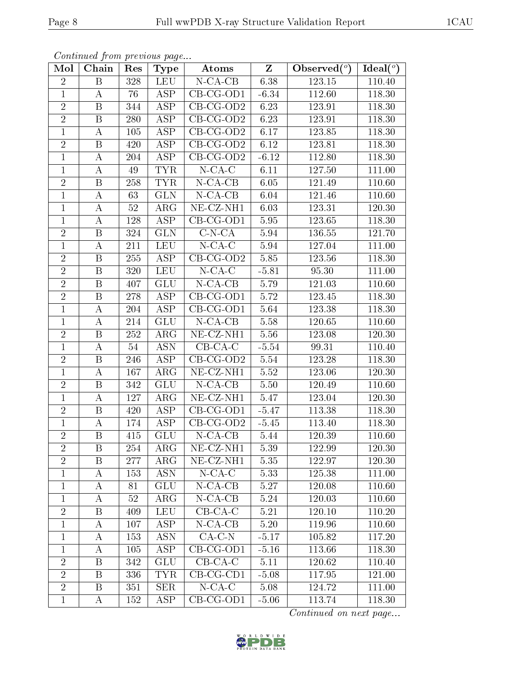| Mol            | Chain            | Res | <b>Type</b>             | Atoms                         | $Z_{\parallel}$ | Observed $\overline{(^{\circ})}$ | Ideal $(°)$ |
|----------------|------------------|-----|-------------------------|-------------------------------|-----------------|----------------------------------|-------------|
| $\overline{2}$ | $\boldsymbol{B}$ | 328 | <b>LEU</b>              | $N$ -CA-CB                    | 6.38            | 123.15                           | 110.40      |
| $\mathbf{1}$   | $\bf{A}$         | 76  | <b>ASP</b>              | $\overline{CB}$ -CG-OD1       | $-6.34$         | 112.60                           | 118.30      |
| $\overline{2}$ | $\, {\bf B}$     | 344 | <b>ASP</b>              | $CB$ -CG-OD2                  | 6.23            | 123.91                           | 118.30      |
| $\overline{2}$ | B                | 280 | ASP                     | $CB-CG-OD2$                   | 6.23            | 123.91                           | 118.30      |
| $\mathbf{1}$   | А                | 105 | $\overline{ASP}$        | $CB-CG-OD2$                   | $6.17\,$        | 123.85                           | 118.30      |
| $\sqrt{2}$     | B                | 420 | <b>ASP</b>              | $CB-CG-OD2$                   | 6.12            | 123.81                           | 118.30      |
| $\mathbf{1}$   | А                | 204 | ASP                     | $CB$ -CG-OD2                  | $-6.12$         | 112.80                           | 118.30      |
| $\mathbf{1}$   | $\boldsymbol{A}$ | 49  | <b>TYR</b>              | $N$ -CA-C                     | 6.11            | 127.50                           | 111.00      |
| $\sqrt{2}$     | $\mathbf B$      | 258 | <b>TYR</b>              | $N$ -CA-CB                    | $6.05\,$        | 121.49                           | 110.60      |
| $\mathbf 1$    | $\boldsymbol{A}$ | 63  | <b>GLN</b>              | $N-CA-CB$                     | 6.04            | 121.46                           | 110.60      |
| $\mathbf{1}$   | $\boldsymbol{A}$ | 52  | $\rm{ARG}$              | NE-CZ-NH1                     | 6.03            | 123.31                           | 120.30      |
| $\mathbf{1}$   | А                | 128 | <b>ASP</b>              | $CB-CG-OD1$                   | 5.95            | 123.65                           | 118.30      |
| $\overline{2}$ | $\, {\bf B}$     | 324 | <b>GLN</b>              | $C-N-CA$                      | 5.94            | 136.55                           | 121.70      |
| $\mathbf{1}$   | $\boldsymbol{A}$ | 211 | <b>LEU</b>              | $N$ -CA-C                     | 5.94            | 127.04                           | 111.00      |
| $\overline{2}$ | B                | 255 | <b>ASP</b>              | $CB-CG-OD2$                   | 5.85            | 123.56                           | 118.30      |
| $\overline{2}$ | B                | 320 | <b>LEU</b>              | $N$ -CA-C                     | $-5.81$         | 95.30                            | 111.00      |
| $\overline{2}$ | $\, {\bf B}$     | 407 | GLU                     | $N$ -CA-CB                    | 5.79            | 121.03                           | 110.60      |
| $\sqrt{2}$     | $\boldsymbol{B}$ | 278 | ASP                     | $CB-CG-OD1$                   | 5.72            | 123.45                           | 118.30      |
| $\mathbf{1}$   | $\boldsymbol{A}$ | 204 | ASP                     | $CB-CG-OD1$                   | 5.64            | 123.38                           | 118.30      |
| $\mathbf{1}$   | А                | 214 | <b>GLU</b>              | $N$ -CA-CB                    | 5.58            | 120.65                           | 110.60      |
| $\overline{2}$ | B                | 252 | $\rm{ARG}$              | $\overline{\text{NE-CL-NH1}}$ | 5.56            | 123.08                           | 120.30      |
| $\mathbf{1}$   | $\boldsymbol{A}$ | 54  | <b>ASN</b>              | $CB-CA-C$                     | $-5.54$         | $\overline{99.31}$               | 110.40      |
| $\overline{2}$ | B                | 246 | <b>ASP</b>              | $CB-CG-OD2$                   | 5.54            | 123.28                           | 118.30      |
| $\mathbf{1}$   | $\boldsymbol{A}$ | 167 | $\rm{ARG}$              | $NE- CZ-NH1$                  | 5.52            | 123.06                           | 120.30      |
| $\sqrt{2}$     | B                | 342 | <b>GLU</b>              | $N-CA-CB$                     | 5.50            | 120.49                           | 110.60      |
| $\mathbf{1}$   | A                | 127 | $\rm{ARG}$              | NE-CZ-NH1                     | 5.47            | 123.04                           | 120.30      |
| $\sqrt{2}$     | $\, {\bf B}$     | 420 | $\overline{\text{ASP}}$ | CB-CG-OD1                     | $-5.47$         | 113.38                           | 118.30      |
| 1              | $\boldsymbol{A}$ | 174 | ASP                     | $CB-CG-OD2$                   | $-5.45$         | 113.40                           | 118.30      |
| $\overline{2}$ | $\boldsymbol{B}$ | 415 | <b>GLU</b>              | $N-CA-CB$                     | 5.44            | 120.39                           | 110.60      |
| $\overline{2}$ | Β                | 254 | $\rm{ARG}$              | $NE$ -CZ-NH1                  | 5.39            | 122.99                           | 120.30      |
| $\overline{2}$ | $\mathbf B$      | 277 | $\rm{ARG}$              | $NE$ - $CZ$ - $NH1$           | 5.35            | 122.97                           | 120.30      |
| $\mathbf{1}$   | A                | 153 | <b>ASN</b>              | $N$ -CA-C                     | 5.33            | 125.38                           | 111.00      |
| 1              | A                | 81  | GLU                     | $N-CA-CB$                     | 5.27            | 120.08                           | 110.60      |
| 1              | А                | 52  | ARG                     | $N-CA-CB$                     | 5.24            | 120.03                           | 110.60      |
| $\overline{2}$ | Β                | 409 | <b>LEU</b>              | $CB-CA-C$                     | 5.21            | 120.10                           | 110.20      |
| 1              | A                | 107 | ASP                     | $N-CA-CB$                     | 5.20            | 119.96                           | 110.60      |
| $\mathbf 1$    | A                | 153 | ASN                     | $CA-C-N$                      | $-5.17$         | 105.82                           | 117.20      |
| $\mathbf{1}$   | A                | 105 | ASP                     | $CB-CG-OD1$                   | $-5.16$         | 113.66                           | 118.30      |
| $\overline{2}$ | $\mathbf B$      | 342 | <b>GLU</b>              | $CB-CA-C$                     | 5.11            | 120.62                           | 110.40      |
| $\overline{2}$ | B                | 336 | <b>TYR</b>              | $CB-CG-CD1$                   | $-5.08$         | 117.95                           | 121.00      |
| $\overline{2}$ | B                | 351 | <b>SER</b>              | $N$ -CA-C                     | 5.08            | 124.72                           | 111.00      |
| $\mathbf{1}$   | A                | 152 | <b>ASP</b>              | $CB-CG-OD1$                   | $-5.06$         | 113.74                           | 118.30      |

Continued from previous page...

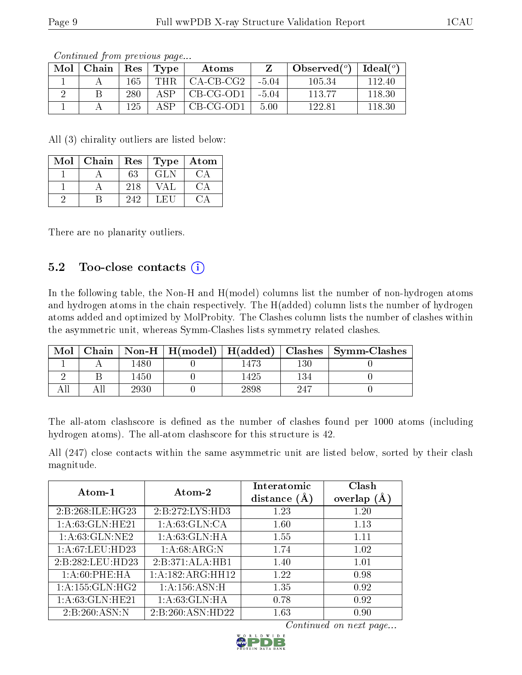| Mol | Chain | $\overline{\phantom{a}}$ Res $\overline{\phantom{a}}$ | $\vert$ Type | Atoms       |         | Observed $(^\circ)$ | Ideal $({}^o)$ |
|-----|-------|-------------------------------------------------------|--------------|-------------|---------|---------------------|----------------|
|     |       | 165                                                   | THR.         | $CA-CB-CG2$ | $-5.04$ | 105.34              | 112.40         |
|     |       | 280                                                   | ΔSΡ          | CB-CG-OD1   | $-5.04$ | 113.77              | 118.30         |
|     |       | 125                                                   | $\Delta$ SP  | $CB-CG-OD1$ | 5.00    | 122.81              | 118.30         |

All (3) chirality outliers are listed below:

| Mol | Chain | Res | Type            | Atom |
|-----|-------|-----|-----------------|------|
|     |       | 63  | GL N            |      |
|     |       | 218 | VA <sub>1</sub> |      |
|     |       | 242 | L ET            |      |

There are no planarity outliers.

#### 5.2 Too-close contacts  $(i)$

In the following table, the Non-H and H(model) columns list the number of non-hydrogen atoms and hydrogen atoms in the chain respectively. The H(added) column lists the number of hydrogen atoms added and optimized by MolProbity. The Clashes column lists the number of clashes within the asymmetric unit, whereas Symm-Clashes lists symmetry related clashes.

| Mol |       |      |      | Chain $\overline{\text{Non-H}}$   H(model)   H(added)   Clashes   Symm-Clashes |
|-----|-------|------|------|--------------------------------------------------------------------------------|
|     | 1480. | 1473 | 130  |                                                                                |
|     | 1450  | 425  | 134  |                                                                                |
|     | 2930  | 2898 | -247 |                                                                                |

The all-atom clashscore is defined as the number of clashes found per 1000 atoms (including hydrogen atoms). The all-atom clashscore for this structure is 42.

All (247) close contacts within the same asymmetric unit are listed below, sorted by their clash magnitude.

| Atom-1              | Atom-2           | Interatomic<br>distance $(\AA)$ | Clash<br>overlap $(A)$ |
|---------------------|------------------|---------------------------------|------------------------|
| 2:B:268:ILE:HG23    | 2:B:272:LYS:HD3  | 1.23                            | 1.20                   |
| 1: A:63: GLN: HE21  | 1: A:63: GLN:CA  | 1.60                            | 1.13                   |
| 1: A:63: GLN:NE2    | 1: A:63: GLN: HA | 1.55                            | 1.11                   |
| 1: A:67:LEU:HD23    | 1: A:68: ARG: N  | 1.74                            | 1.02                   |
| 2:B:282:LEU:HD23    | 2:B:371:ALA:HB1  | 1.40                            | 1.01                   |
| 1: A:60:PHE:HA      | 1:A:182:ARG:HH12 | 1.22                            | 0.98                   |
| 1: A: 155: GLN: HG2 | 1: A:156: ASN:H  | 1.35                            | 0.92                   |
| 1:A:63:GLN:HE21     | 1: A:63: GLN: HA | 0.78                            | 0.92                   |
| 2:B:260:ASN:N       | 2:B:260:ASN:HD22 | 1.63                            | 0.90                   |

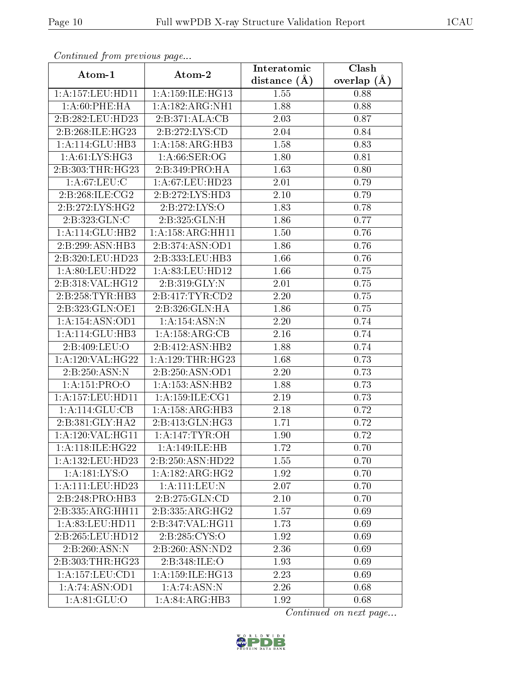| Continuea from previous page |                              | Interatomic    | Clash         |
|------------------------------|------------------------------|----------------|---------------|
| Atom-1                       | Atom-2                       | distance $(A)$ | overlap $(A)$ |
| 1: A: 157: LEU: HD11         | 1: A: 159: ILE: HG13         | 1.55           | 0.88          |
| 1: A:60:PHE:HA               | 1:A:182:ARG:NH1              | 1.88           | 0.88          |
| 2:B:282:LEU:HD23             | 2:B:371:ALA:CB               | 2.03           | 0.87          |
| 2:B:268:ILE:HG23             | 2:B:272:LYS:CD               | 2.04           | 0.84          |
| 1: A:114: GLU:HB3            | 1: A: 158: ARG: HB3          | 1.58           | 0.83          |
| 1: A:61: LYS:HG3             | 1: A:66: SER:OG              | 1.80           | 0.81          |
| 2:B:303:THR:HG23             | 2:B:349:PRO:HA               | 1.63           | 0.80          |
| 1: A:67:LEU:C                | 1: A:67:LEU:HD23             | 2.01           | 0.79          |
| 2: B:268: ILE: CG2           | 2:B:272:LYS:HD3              | 2.10           | 0.79          |
| 2: B: 272: LYS: HG2          | 2:B:272:LYS:O                | 1.83           | 0.78          |
| 2:B:323:GLN:C                | 2:B:325:GLN:H                | 1.86           | 0.77          |
| 1:A:114:GLU:HB2              | 1:A:158:ARG:HH11             | 1.50           | 0.76          |
| 2:B:299:ASN:HB3              | 2:B:374:ASN:OD1              | 1.86           | 0.76          |
| 2:B:320:LEU:HD23             | 2:B:333:LEU:HB3              | 1.66           | 0.76          |
| 1: A:80: LEU:HD22            | 1: A:83: LEU: HD12           | 1.66           | 0.75          |
| 2:B:318:VAL:HG12             | 2:B:319:GLY:N                | 2.01           | 0.75          |
| 2:B:258:TYR:HB3              | 2: B: 417: TYR: CD2          | 2.20           | 0.75          |
| 2:B:323:GLN:OE1              | 2: B:326: GLN: HA            | 1.86           | 0.75          |
| 1:A:154:ASN:OD1              | 1:A:154:ASN:N                | 2.20           | 0.74          |
| 1:A:114:GLU:HB3              | 1: A: 158: ARG: CB           | 2.16           | 0.74          |
| 2:B:409:LEU:O                | 2:B:412:ASN:HB2              | 1.88           | 0.74          |
| 1:A:120:VAL:HG22             | 1:A:129:THR:HG23             | 1.68           | 0.73          |
| 2:B:250:ASN:N                | 2:B:250:ASN:OD1              | 2.20           | 0.73          |
| 1:A:151:PRO:O                | 1: A: 153: ASN: HB2          | 1.88           | 0.73          |
| 1:A:157:LEU:HD11             | 1: A: 159: ILE: CG1          | 2.19           | 0.73          |
| 1: A:114: GLU:CB             | 1: A: 158: ARG: HB3          | 2.18           | 0.72          |
| 2:B:381:GLY:HA2              | 2:B:413:GLN:HG3              | 1.71           | 0.72          |
| 1:A:120:VAL:HG11             | 1: A:147: TYR:OH             | 1.90           | 0.72          |
| 1: A:118: ILE: HG22          | 1:A:149:ILE:HB               | 1.72           | 0.70          |
| 1: A: 132: LEU: HD23         | 2:B:250:ASN:HD22             | 1.55           | 0.70          |
| 1: A: 181: LYS: O            | 1:A:182:ARG:HG2              | 1.92           | 0.70          |
| 1: A: 111: LEU: HD23         | 1:A:111:LEU:N                | 2.07           | 0.70          |
| 2:B:248:PRO:HB3              | 2:B:275:GLN:CD               | 2.10           | 0.70          |
| 2:B:335:ARG:HH11             | 2:B:335:ARG:HG2              | 1.57           | 0.69          |
| 1: A:83:LEU:HD11             | 2:B:347:VAL:HG11             | 1.73           | 0.69          |
| 2:B:265:LEU:HD12             | 2: B: 285: CYS:O             | 1.92           | 0.69          |
| $2:B:260:ASN:\overline{N}$   | $2:B:260:ASN:N\overline{D2}$ | 2.36           | 0.69          |
| 2:B:303:THR:HG23             | 2:B:348:ILE:O                | 1.93           | 0.69          |
| 1:A:157:LEU:CD1              | 1: A: 159: ILE: HG13         | 2.23           | 0.69          |
| 1:A:74:ASN:OD1               | 1:A:74:ASN:N                 | 2.26           | 0.68          |
| 1: A:81: GLU:O               | 1:A:84:ARG:HB3               | 1.92           | 0.68          |

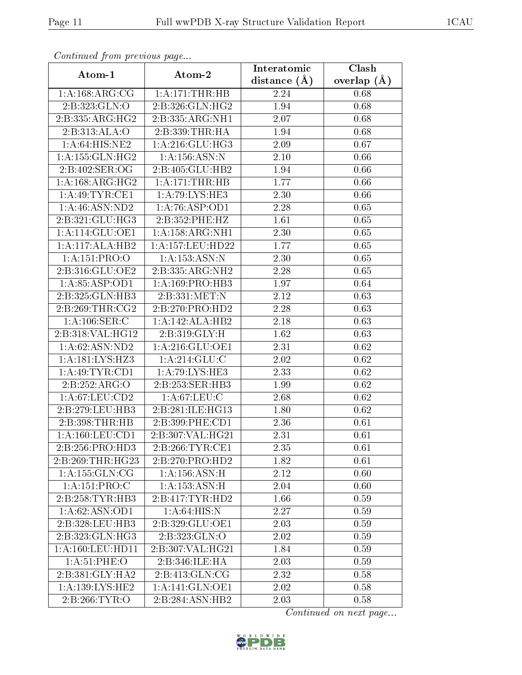| Commuca from previous page    |                    | Interatomic      | Clash           |
|-------------------------------|--------------------|------------------|-----------------|
| Atom-1                        | Atom-2             | distance $(\AA)$ | overlap $(\AA)$ |
| 1: A: 168: ARG: CG            | 1:A:171:THR:HB     | 2.24             | 0.68            |
| 2:B:323:GLN:O                 | 2: B:326: GLN: HG2 | 1.94             | 0.68            |
| 2:B:335:ARG:HG2               | 2:B:335:ARG:NH1    | 2.07             | 0.68            |
| 2:B:313:ALA:O                 | 2:B:339:THR:HA     | 1.94             | 0.68            |
| $1: A:64: \overline{HIS:NE2}$ | 1:A:216:GLU:HG3    | 2.09             | 0.67            |
| 1:A:155:GLN:HG2               | 1: A: 156: ASN: N  | 2.10             | 0.66            |
| 2:B:402:SER:OG                | 2:B:405:GLU:HB2    | 1.94             | 0.66            |
| 1: A: 168: ARG: HG2           | 1:A:171:THR:HB     | 1.77             | 0.66            |
| 1: A:49: TYR: CE1             | 1:A:79:LYS:HE3     | 2.30             | 0.66            |
| 1: A:46: ASN:ND2              | 1: A:76: ASP:OD1   | 2.28             | 0.65            |
| 2:B:321:GLU:HG3               | 2:B:352:PHE:HZ     | 1.61             | 0.65            |
| 1:A:114:GLU:OE1               | 1:A:158:ARG:NH1    | 2.30             | 0.65            |
| 1:A:117:ALA:HB2               | 1:A:157:LEU:HD22   | 1.77             | $0.65\,$        |
| 1:A:151:PRO:O                 | 1: A: 153: ASN: N  | 2.30             | 0.65            |
| 2:B:316:GLU:OE2               | 2:B:335:ARG:NH2    | 2.28             | 0.65            |
| 1:A:85:ASP:OD1                | 1:A:169:PRO:HB3    | 1.97             | 0.64            |
| 2:B:325:GLN:HB3               | 2:B:331:MET:N      | 2.12             | 0.63            |
| 2:B:269:THR:CG2               | 2:B:270:PRO:HD2    | 2.28             | 0.63            |
| 1: A: 106: SER: C             | 1:A:142:ALA:HB2    | 2.18             | 0.63            |
| 2:B:318:VAL:HG12              | 2:B:319:GLY:H      | 1.62             | 0.63            |
| 1:A:62:ASN:ND2                | 1:A:216:GLU:OE1    | 2.31             | 0.62            |
| 1:A:181:LYS:HZ3               | 1: A:214: GLU:C    | 2.02             | 0.62            |
| 1: A:49:TYR:CD1               | 1:A:79:LYS:HE3     | 2.33             | 0.62            |
| 2:B:252:ARG:O                 | 2:B:253:SER:HB3    | 1.99             | 0.62            |
| 1:A:67:LEU:CD2                | 1: A:67:LEU:C      | 2.68             | 0.62            |
| 2:B:279:LEU:HB3               | 2:B:281:ILE:HG13   | 1.80             | 0.62            |
| 2:B:398:THR:HB                | 2:B:399:PHE:CD1    | 2.36             | 0.61            |
| 1: A: 160: LEU: CD1           | 2:B:307:VAL:HG21   | 2.31             | 0.61            |
| 2:B:256:PRO:HD3               | 2: B:266: TYR: CE1 | 2.35             | 0.61            |
| 2:B:269:THR:HG23              | 2:B:270:PRO:HD2    | 1.82             | 0.61            |
| 1: A: 155: GLN: CG            | 1: A: 156: ASN:H   | 2.12             | 0.60            |
| 1: A:151: PRO:C               | 1: A: 153: ASN:H   | 2.04             | 0.60            |
| 2:B:258:TYR:HB3               | 2:B:417:TYR:HD2    | 1.66             | 0.59            |
| 1: A:62: ASN:OD1              | 1: A:64: HIS:N     | 2.27             | 0.59            |
| 2:B:328:LEU:HB3               | 2:B:329:GLU:OE1    | 2.03             | 0.59            |
| 2:B:323:GLN:HG3               | 2:B:323:GLN:O      | 2.02             | 0.59            |
| 1: A: 160: LEU: HD11          | 2:B:307:VAL:HG21   | 1.84             | 0.59            |
| 1: A:51:PHE:O                 | 2:B:346:ILE:HA     | 2.03             | 0.59            |
| 2:B:381:GLY:HA2               | 2: B: 413: GLN: CG | 2.32             | 0.58            |
| 1:A:139:LYS:HE2               | 1: A:141: GLN:OE1  | 2.02             | 0.58            |
| 2: B:266: TYR:O               | 2:B:284:ASN:HB2    | 2.03             | 0.58            |

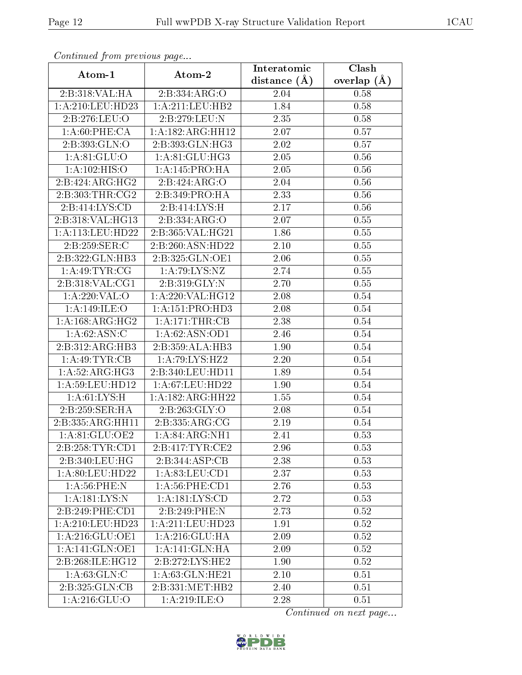| Continuatu from previous page |                               | Interatomic       | Clash           |
|-------------------------------|-------------------------------|-------------------|-----------------|
| Atom-1                        | Atom-2                        | distance $(A)$    | overlap $(\AA)$ |
| 2:B:318:VAL:HA                | 2:B:334:ARG:O                 | 2.04              | 0.58            |
| 1:A:210:LEU:HD23              | 1: A:211:LEU:HB2              | 1.84              | 0.58            |
| 2:B:276:LEU:O                 | 2:B:279:LEU:N                 | 2.35              | 0.58            |
| 1: A:60:PHE:CA                | 1:A:182:ARG:HH12              | 2.07              | 0.57            |
| 2:B:393:GLN:O                 | 2:B:393:GLN:HG3               | 2.02              | 0.57            |
| 1: A:81: GLU:O                | 1: A:81: GLU:HG3              | 2.05              | 0.56            |
| 1:A:102:HIS:O                 | 1:A:145:PRO:HA                | 2.05              | $0.56\,$        |
| 2:B:424:ARG:HG2               | 2:B:424:ARG:O                 | 2.04              | 0.56            |
| 2:B:303:THR:CG2               | 2:B:349:PRO:HA                | $\overline{2.33}$ | 0.56            |
| 2:B:414:LYS:CD                | 2:B:414:LYS:H                 | 2.17              | 0.56            |
| 2:B:318:VAL:HG13              | 2:B:334:ARG:O                 | 2.07              | 0.55            |
| 1:A:113:LEU:HD22              | 2:B:365:VAL:HG21              | 1.86              | 0.55            |
| 2:B:259:SER:C                 | 2:B:260:ASN:HD22              | 2.10              | 0.55            |
| 2:B:322:GLN:HB3               | 2:B:325:GLN:OE1               | 2.06              | 0.55            |
| 1:A:49:TYR:CG                 | 1:A:79:LYS:NZ                 | 2.74              | 0.55            |
| 2:B:318:VAL:CG1               | 2:B:319:GLY:N                 | 2.70              | 0.55            |
| 1:A:220:VAL:O                 | 1:A:220:VAL:HG12              | 2.08              | 0.54            |
| 1:A:149:ILE:O                 | 1:A:151:PRO:HD3               | 2.08              | 0.54            |
| 1: A: 168: ARG: HG2           | 1: A:171:THR:CB               | 2.38              | $0.54\,$        |
| 1: A:62: ASN: C               | 1:A:62:ASN:OD1                | 2.46              | 0.54            |
| 2:B:312:ARG:HB3               | 2:B:359:ALA:HB3               | 1.90              | 0.54            |
| 1: A:49: TYR: CB              | 1:A:79:LYS:HZ2                | 2.20              | 0.54            |
| 1: A:52: ARG:HG3              | 2:B:340:LEU:HD11              | 1.89              | 0.54            |
| 1:A:59:LEU:HD12               | 1:A:67:LEU:HD22               | 1.90              | 0.54            |
| 1: A:61: LYS:H                | 1: A: 182: ARG: HH22          | 1.55              | 0.54            |
| 2:B:259:SER:HA                | 2:B:263:GLY:O                 | 2.08              | 0.54            |
| 2:B:335:ARG:HH11              | 2:B:335:ARG:CG                | 2.19              | 0.54            |
| 1: A:81:GLU:OE2               | 1:A:84:ARG:NH1                | 2.41              | 0.53            |
| 2:B:258:TYR:CD1               | 2: B: 417: TYR: CE2           | 2.96              | 0.53            |
| 2:B:340:LEU:HG                | 2:B:344:ASP:CB                | 2.38              | 0.53            |
| 1: A:80: LEU:HD22             | $1: A:83:LEU: \overline{CD1}$ | 2.37              | 0.53            |
| 1: A:56:PHE:N                 | 1: A:56:PHE:CD1               | 2.76              | 0.53            |
| 1: A: 181: LYS: N             | 1: A: 181: LYS: CD            | 2.72              | 0.53            |
| 2:B:249:PHE:CD1               | 2:B:249:PHE:N                 | 2.73              | 0.52            |
| 1:A:210:LEU:HD23              | 1:A:211:LEU:HD23              | 1.91              | 0.52            |
| 1: A:216: GLU:OE1             | 1:A:216:GLU:HA                | 2.09              | 0.52            |
| 1:A:141:GLN:OE1               | $1:A:141:GLN:\overline{HA}$   | 2.09              | 0.52            |
| 2:B:268:ILE:HG12              | 2:B:272:LYS:HE2               | 1.90              | 0.52            |
| 1: A:63: GLN: C               | 1: A:63: GLN: HE21            | 2.10              | 0.51            |
| 2:B:325:GLN:CB                | 2:B:331:MET:HB2               | 2.40              | 0.51            |
| 1: A:216: GLU:O               | 1: A:219: ILE: O              | 2.28              | 0.51            |

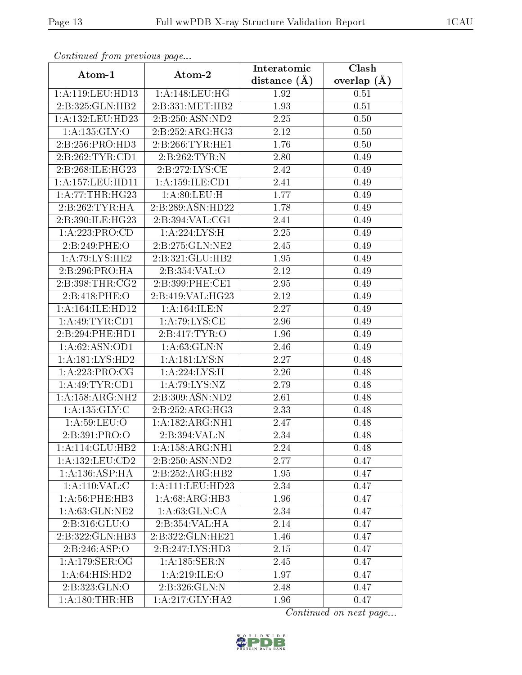| Continuea from previous page |                              | Interatomic      | Clash         |
|------------------------------|------------------------------|------------------|---------------|
| Atom-1                       | Atom-2                       | distance $(\AA)$ | overlap $(A)$ |
| 1: A: 119: LEU: HD13         | 1: A:148:LEU:HG              | 1.92             | 0.51          |
| 2:B:325:GLN:HB2              | 2:B:331:MET:HB2              | 1.93             | 0.51          |
| 1:A:132:LEU:HD23             | 2:B:250:ASN:ND2              | 2.25             | 0.50          |
| 1:A:135:GLY:O                | 2:B:252:ARG:HG3              | 2.12             | 0.50          |
| 2:B:256:PRO:HD3              | 2:B:266:TYR:HE1              | 1.76             | 0.50          |
| 2:B:262:TYR:CD1              | 2:B:262:TYR:N                | 2.80             | 0.49          |
| 2:B:268:ILE:HG23             | 2:B:272:LYS:CE               | 2.42             | 0.49          |
| 1:A:157:LEU:HD11             | 1: A: 159: ILE: CD1          | 2.41             | 0.49          |
| 1: A:77:THR:HG23             | 1: A:80: LEU:H               | 1.77             | 0.49          |
| 2:B:262:TYR:HA               | 2:B:289:ASN:HD22             | 1.78             | 0.49          |
| 2:B:390:ILE:HG23             | 2:B:394:VAL:CG1              | 2.41             | 0.49          |
| 1:A:223:PRO:CD               | 1: A:224:LYS:H               | 2.25             | 0.49          |
| 2:B:249:PHE:O                | 2:B:275:GLN:NE2              | 2.45             | 0.49          |
| 1: A:79: LYS: HE2            | 2:B:321:GLU:HB2              | 1.95             | 0.49          |
| 2:B:296:PRO:HA               | 2:B:354:VAL:O                | 2.12             | 0.49          |
| 2:B:398:THR:CG2              | 2:B:399:PHE:CE1              | 2.95             | 0.49          |
| 2:B:418:PHE:O                | 2:B:419:VAL:HG23             | 2.12             | 0.49          |
| 1: A: 164: ILE: HD12         | 1: A:164: ILE:N              | 2.27             | 0.49          |
| 1: A:49: TYR: CD1            | 1:A:79:LYS:CE                | 2.96             | 0.49          |
| 2:B:294:PHE:HD1              | 2:B:417:TYR:O                | 1.96             | 0.49          |
| 1:A:62:ASN:OD1               | 1: A:63: GLN:N               | 2.46             | 0.49          |
| 1:A:181:LYS:HD2              | 1: A: 181: LYS: N            | 2.27             | 0.48          |
| 1:A:223:PRO:CG               | 1: A:224:LYS:H               | 2.26             | 0.48          |
| 1: A:49: TYR: CD1            | 1: A:79: LYS: NZ             | 2.79             | 0.48          |
| 1: A: 158: ARG: NH2          | 2:B:309:ASN:ND2              | 2.61             | 0.48          |
| 1:A:135:GLY:C                | 2:B:252:ARG:HG3              | 2.33             | 0.48          |
| 1: A:59: LEU:O               | $1:A:182:ARG:\overline{NH1}$ | 2.47             | 0.48          |
| 2:B:391:PRO:O                | 2:B:394:VAL:N                | 2.34             | 0.48          |
| 1: A:114: GLU:HB2            | $1:A:158:ARG:\overline{NH1}$ | 2.24             | 0.48          |
| 1: A: 132: LEU: CD2          | 2:B:250:ASN:ND2              | 2.77             | 0.47          |
| 1:A:136:ASP:HA               | 2:B:252:ARG:HB2              | 1.95             | 0.47          |
| 1: A:110: VAL: C             | 1:A:111:EU:HD23              | 2.34             | 0.47          |
| 1:A:56:PHE:HB3               | 1:A:68:ARG:HB3               | 1.96             | 0.47          |
| 1: A:63: GLN: NE2            | 1:A:63:GLN:CA                | 2.34             | 0.47          |
| 2:B:316:GLU:O                | 2:B:354:VAL:HA               | 2.14             | 0.47          |
| 2:B:322:GLN:HB3              | 2:B:322:GLN:HE21             | 1.46             | 0.47          |
| 2:B:246:ASP:O                | 2:B:247:LYS:HD3              | 2.15             | 0.47          |
| 1: A:179: SER:OG             | 1:A:185:SER:N                | 2.45             | 0.47          |
| 1:A:64:HIS:HD2               | 1: A:219: ILE: O             | 1.97             | 0.47          |
| 2:B:323:GLN:O                | 2:B:326:GLN:N                | 2.48             | 0.47          |
| 1: A: 180: THR: HB           | 1:A:217:GLY:HA2              | 1.96             | 0.47          |

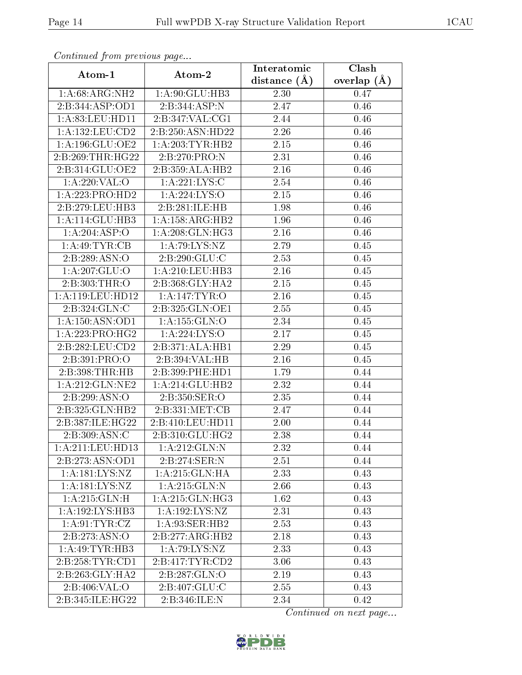| Continuatu jibin previous puge |                    | Interatomic    | Clash           |  |
|--------------------------------|--------------------|----------------|-----------------|--|
| Atom-1                         | Atom-2             | distance $(A)$ | overlap $(\AA)$ |  |
| 1:A:68:ARG:NH2                 | 1:A:90:GLU:HB3     | 2.30           | 0.47            |  |
| 2:B:344:ASP:OD1                | 2:B:344:ASP:N      | 2.47           | 0.46            |  |
| 1: A:83:LEU:HD11               | 2:B:347:VAL:CG1    | 2.44           | 0.46            |  |
| 1:A:132:LEU:CD2                | 2:B:250:ASN:HD22   | 2.26           | 0.46            |  |
| 1:A:196:GLU:OE2                | 1: A:203:TYR:HB2   | 2.15           | 0.46            |  |
| 2:B:269:THR:HG22               | 2:B:270:PRO:N      | 2.31           | 0.46            |  |
| 2:B:314:GLU:OE2                | 2:B:359:ALA:HB2    | 2.16           | 0.46            |  |
| 1:A:220:VAL:O                  | 1:A:221:LYS:C      | 2.54           | 0.46            |  |
| 1:A:223:PRO:HD2                | 1: A: 224: LYS: O  | 2.15           | 0.46            |  |
| 2:B:279:LEU:HB3                | 2:B:281:ILE:HB     | 1.98           | 0.46            |  |
| 1: A:114: GLU:HB3              | 1:A:158:ARG:HB2    | 1.96           | 0.46            |  |
| 1:A:204:ASP:O                  | 1: A:208: GLN: HG3 | 2.16           | 0.46            |  |
| 1: A:49: TYR: CB               | 1: A:79: LYS: NZ   | 2.79           | 0.45            |  |
| 2:B:289:ASN:O                  | 2:B:290:GLU:C      | 2.53           | 0.45            |  |
| 1:A:207:GLU:O                  | 1: A:210:LEU:HB3   | 2.16           | 0.45            |  |
| 2:B:303:THR:O                  | 2:B:368:GLY:HA2    | 2.15           | 0.45            |  |
| 1:A:119:LEU:HD12               | 1:A:147:TYR:O      | 2.16           | 0.45            |  |
| 2:B:324:GLN:C                  | 2:B:325:GLN:OE1    | 2.55           | 0.45            |  |
| 1: A: 150: ASN: OD1            | 1:A:155:GLN:O      | 2.34           | 0.45            |  |
| 1:A:223:PRO:HG2                | 1:A:224:LYS:O      | 2.17           | 0.45            |  |
| 2:B:282:LEU:CD2                | 2:B:371:ALA:HB1    | 2.29           | 0.45            |  |
| 2:B:391:PRO:O                  | 2:B:394:VAL:HB     | 2.16           | 0.45            |  |
| 2:B:398:THR:HB                 | 2:B:399:PHE:HD1    | 1.79           | 0.44            |  |
| 1: A:212: GLN: NE2             | 1:A:214:GLU:HB2    | 2.32           | 0.44            |  |
| 2: B: 299: ASN:O               | 2:B:350:SER:O      | 2.35           | 0.44            |  |
| 2:B:325:GLN:HB2                | 2:B:331:MET:CB     | 2.47           | 0.44            |  |
| 2:B:387:ILE:HG22               | 2:B:410:LEU:HD11   | 2.00           | 0.44            |  |
| 2:B:309:ASN:C                  | 2:B:310:GLU:HG2    | 2.38           | 0.44            |  |
| 1:A:211:LEU:HD13               | 1:A:212:GLN:N      | 2.32           | 0.44            |  |
| 2:B:273:ASN:OD1                | 2:B:274:SER:N      | 2.51           | 0.44            |  |
| 1:A:181:LYS:NZ                 | 1:A:215:GLN:HA     | 2.33           | 0.43            |  |
| 1: A: 181: LYS: NZ             | 1: A:215: GLN:N    | 2.66           | 0.43            |  |
| 1:A:215:GLN:H                  | 1: A:215: GLN: HG3 | 1.62           | 0.43            |  |
| 1:A:192:LYS:HB3                | 1:A:192:LYS:NZ     | 2.31           | 0.43            |  |
| 1: A:91: TYR: CZ               | 1: A:93: SER:HB2   | 2.53           | 0.43            |  |
| 2: B: 273: ASN:O               | 2:B:277:ARG:HB2    | 2.18           | 0.43            |  |
| 1: A:49: TYR: HB3              | 1: A:79: LYS: NZ   | 2.33           | 0.43            |  |
| 2:B:258:TYR:CD1                | 2:B:417:TYR:CD2    | 3.06           | 0.43            |  |
| 2:B:263:GLY:HA2                | 2:B:287:GLN:O      | 2.19           | 0.43            |  |
| 2:B:406:VAL:O                  | 2:B:407:GLU:C      | 2.55           | 0.43            |  |
| 2:B:345:ILE:HG22               | 2:B:346:ILE:N      | 2.34           | 0.42            |  |

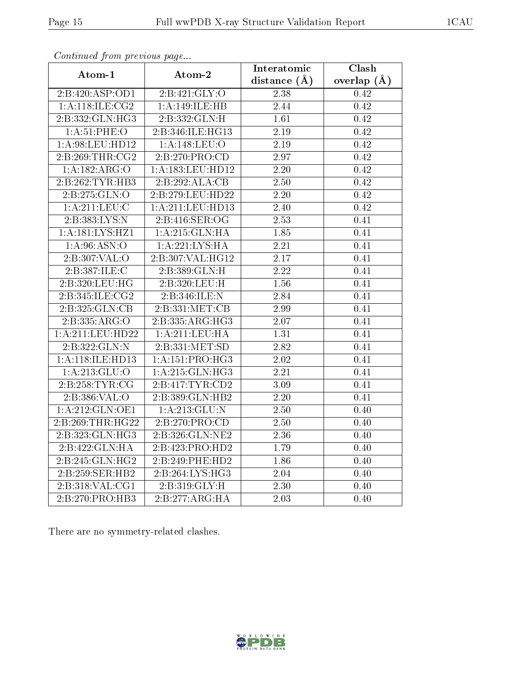|                     | $\cdots$ , $\cdots$ , $\cdots$ , $\cdots$ , $\cdots$ , $\cdots$ , $\cdots$ , $\cdots$ , $\cdots$ , $\cdots$ , $\cdots$ , $\cdots$ , $\cdots$ , $\cdots$ , $\cdots$ , $\cdots$ , $\cdots$ , $\cdots$ , $\cdots$ , $\cdots$ , $\cdots$ , $\cdots$ , $\cdots$ , $\cdots$ , $\cdots$ , $\cdots$ , $\cdots$ , $\cdots$ , $\cdots$ , $\cdots$ , $\cdots$ , $\cdots$ | Interatomic    | Clash           |
|---------------------|---------------------------------------------------------------------------------------------------------------------------------------------------------------------------------------------------------------------------------------------------------------------------------------------------------------------------------------------------------------|----------------|-----------------|
| Atom-1              | Atom-2                                                                                                                                                                                                                                                                                                                                                        | distance $(A)$ | overlap $(\AA)$ |
| 2:B:420:ASP:OD1     | 2:B:421:GLY:O                                                                                                                                                                                                                                                                                                                                                 | 2.38           | 0.42            |
| 1: A:118: ILE: CG2  | 1:A:149:ILE:HB                                                                                                                                                                                                                                                                                                                                                | 2.44           | 0.42            |
| 2:B:332:GLN:HG3     | 2:B:332:GLN:H                                                                                                                                                                                                                                                                                                                                                 | 1.61           | 0.42            |
| 1: A:51:PHE:O       | 2:B:346:ILE:HG13                                                                                                                                                                                                                                                                                                                                              | 2.19           | 0.42            |
| 1: A:98: LEU: HD12  | 1: A:148: LEU:O                                                                                                                                                                                                                                                                                                                                               | 2.19           | 0.42            |
| 2:B:269:THR:CG2     | 2:B:270:PRO:CD                                                                                                                                                                                                                                                                                                                                                | 2.97           | 0.42            |
| 1:A:182:ARG:O       | 1:A:183:LEU:HD12                                                                                                                                                                                                                                                                                                                                              | 2.20           | 0.42            |
| 2:B:262:TYR:HB3     | 2:B:292:ALA:CB                                                                                                                                                                                                                                                                                                                                                | 2.50           | 0.42            |
| 2:B:275:GLN:O       | 2:B:279:LEU:HD22                                                                                                                                                                                                                                                                                                                                              | 2.20           | 0.42            |
| 1:A:211:LEU:C       | 1:A:211:LEU:HD13                                                                                                                                                                                                                                                                                                                                              | 2.40           | 0.42            |
| 2:B:383:LYS:N       | 2:Bi:416:SER:OG                                                                                                                                                                                                                                                                                                                                               | 2.53           | 0.41            |
| 1: A: 181: LYS: HZ1 | 1:A:215:GLN:HA                                                                                                                                                                                                                                                                                                                                                | 1.85           | 0.41            |
| 1: A:96: ASN:O      | 1:A:221:LYS:HA                                                                                                                                                                                                                                                                                                                                                | 2.21           | 0.41            |
| 2:B:307:VAL:O       | 2:B:307:VAL:HG12                                                                                                                                                                                                                                                                                                                                              | 2.17           | 0.41            |
| 2:B:387:ILE:C       | 2:B:389:GLN:H                                                                                                                                                                                                                                                                                                                                                 | 2.22           | 0.41            |
| 2:B:320:LEU:HG      | 2:B:320:LEU:H                                                                                                                                                                                                                                                                                                                                                 | 1.56           | 0.41            |
| 2:B:345:ILE:CG2     | 2:B:346:ILE:N                                                                                                                                                                                                                                                                                                                                                 | 2.84           | 0.41            |
| 2:B:325:GLN:CB      | 2:B:331:MET:CB                                                                                                                                                                                                                                                                                                                                                | 2.99           | 0.41            |
| 2:B:335:ARG:O       | 2:B:335:ARG:HG3                                                                                                                                                                                                                                                                                                                                               | 2.07           | 0.41            |
| 1:A:211:LEU:HD22    | 1: A:211:LEU:HA                                                                                                                                                                                                                                                                                                                                               | 1.31           | 0.41            |
| 2:B:322:GLN:N       | 2:B:331:MET:SD                                                                                                                                                                                                                                                                                                                                                | 2.82           | 0.41            |
| 1:A:118:ILE:HD13    | 1: A:151: PRO:HG3                                                                                                                                                                                                                                                                                                                                             | 2.02           | 0.41            |
| 1: A:213: GLU:O     | 1: A:215: GLN: HG3                                                                                                                                                                                                                                                                                                                                            | 2.21           | 0.41            |
| 2: B: 258: TYR: CG  | 2: B: 417: TYR: CD2                                                                                                                                                                                                                                                                                                                                           | 3.09           | 0.41            |
| 2:B:386:VAL:O       | 2:B:389:GLN:HB2                                                                                                                                                                                                                                                                                                                                               | 2.20           | 0.41            |
| 1: A:212: GLN:OE1   | 1: A:213: GLU:N                                                                                                                                                                                                                                                                                                                                               | 2.50           | 0.40            |
| 2:B:269:THR:HG22    | 2: B: 270: PRO:CD                                                                                                                                                                                                                                                                                                                                             | 2.50           | 0.40            |
| 2:B:323:GLN:HG3     | 2:B:326:GLN:NE2                                                                                                                                                                                                                                                                                                                                               | 2.36           | 0.40            |
| 2:B:422:GLN:HA      | 2:B:423:PRO:HD2                                                                                                                                                                                                                                                                                                                                               | 1.79           | 0.40            |
| 2:B:245:GLN:HG2     | 2:B:249:PHE:HD2                                                                                                                                                                                                                                                                                                                                               | 1.86           | 0.40            |
| 2:B:259:SER:HB2     | 2:B:264:LYS:HG3                                                                                                                                                                                                                                                                                                                                               | 2.04           | 0.40            |
| 2:B:318:VAL:CG1     | 2:B:319:GLY:H                                                                                                                                                                                                                                                                                                                                                 | 2.30           | 0.40            |
| 2:B:270:PRO:HB3     | 2:B:277:ARG:HA                                                                                                                                                                                                                                                                                                                                                | 2.03           | 0.40            |

There are no symmetry-related clashes.

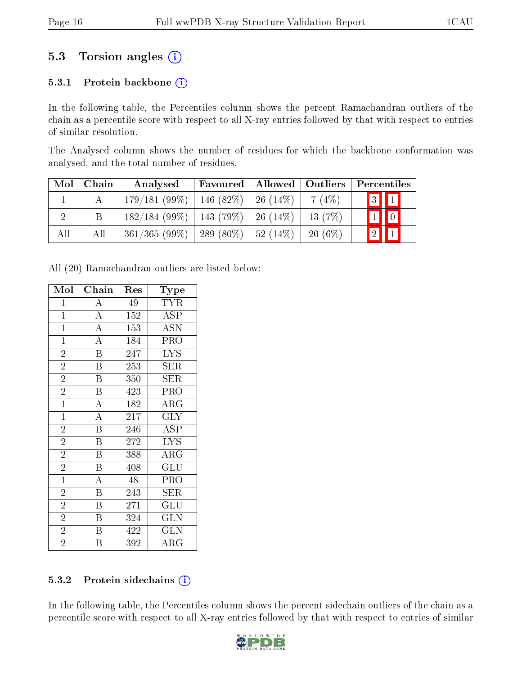### 5.3 Torsion angles  $(i)$

#### 5.3.1 Protein backbone  $(i)$

In the following table, the Percentiles column shows the percent Ramachandran outliers of the chain as a percentile score with respect to all X-ray entries followed by that with respect to entries of similar resolution.

The Analysed column shows the number of residues for which the backbone conformation was analysed, and the total number of residues.

| Mol | Chain | Analysed                                  | Favoured   Allowed   Outliers |           | Percentiles                                               |
|-----|-------|-------------------------------------------|-------------------------------|-----------|-----------------------------------------------------------|
|     |       | $179/181(99\%)$   146 (82\%)   26 (14\%)  |                               | 7(4%)     | 3                                                         |
|     | B     | $182/184$ (99\%)   143 (79\%)   26 (14\%) |                               | 13(7%)    | $\begin{array}{ c c } \hline 1 & 0 \\ \hline \end{array}$ |
| All | All   | $361/365 (99\%)$   289 (80\%)   52 (14\%) |                               | $20(6\%)$ | $\sqrt{2}$                                                |

All (20) Ramachandran outliers are listed below:

| Mol            | Chain                   | Res              | Type                       |
|----------------|-------------------------|------------------|----------------------------|
| $\mathbf{1}$   | $\boldsymbol{A}$        | 49               | <b>TYR</b>                 |
| $\mathbf{1}$   | $\overline{A}$          | 152              | $\overline{A}$ SP          |
| $\overline{1}$ | $\overline{A}$          | $\overline{1}53$ | $\overline{\mathrm{ASN}}$  |
| $\mathbf{1}$   | $\overline{A}$          | 184              | PRO                        |
| $\overline{2}$ | $\overline{\mathbf{B}}$ | 247              | <b>LYS</b>                 |
| $\overline{2}$ | $\overline{\mathrm{B}}$ | 253              | SER                        |
| $\overline{2}$ | $\mathbf B$             | 350              | <b>SER</b>                 |
| $\overline{2}$ | $\overline{\mathrm{B}}$ | 423              | PRO                        |
| $\mathbf{1}$   | $\overline{\rm A}$      | 182              | $\rm{ARG}$                 |
| $\mathbf{1}$   | $\overline{A}$          | 217              | GLY                        |
| $\overline{2}$ | $\overline{\mathrm{B}}$ | 246              | ASP                        |
| $\overline{2}$ | $\overline{\text{B}}$   | 272              | <b>LYS</b>                 |
| $\overline{2}$ | $\overline{\mathrm{B}}$ | 388              | $\overline{\rm A}{\rm RG}$ |
| $\overline{2}$ | $\overline{\mathrm{B}}$ | 408              | GLU                        |
| $\mathbf{1}$   | $\overline{\rm A}$      | 48               | PRO                        |
| $\overline{2}$ | Β                       | 243              | SER                        |
| $\overline{2}$ | $\, {\bf B}$            | 271              | GLU                        |
| $\overline{2}$ | $\overline{\mathrm{B}}$ | 324              | GLN                        |
| $\overline{2}$ | $\boldsymbol{B}$        | 422              | <b>GLN</b>                 |
| $\overline{2}$ | $\overline{\mathrm{B}}$ | 392              | ${\rm ARG}$                |

#### 5.3.2 Protein sidechains (i)

In the following table, the Percentiles column shows the percent sidechain outliers of the chain as a percentile score with respect to all X-ray entries followed by that with respect to entries of similar

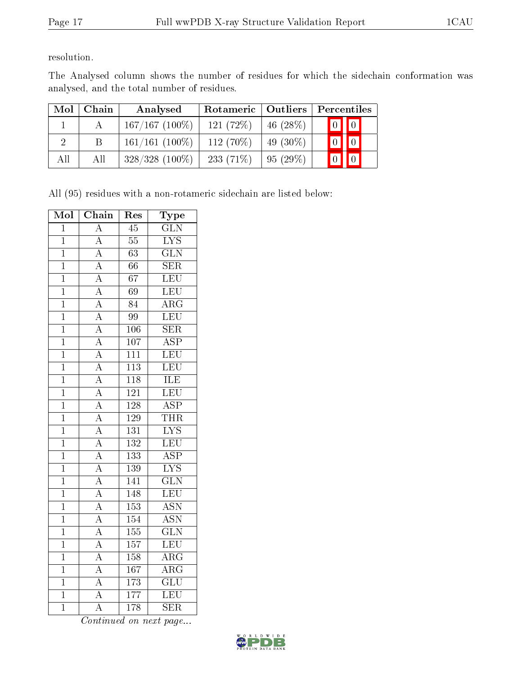resolution.

The Analysed column shows the number of residues for which the sidechain conformation was analysed, and the total number of residues.

| Mol | Chain | Analysed          | Rotameric   Outliers |             | Percentiles             |
|-----|-------|-------------------|----------------------|-------------|-------------------------|
|     |       | $167/167(100\%)$  | 121(72%)             | 46 $(28\%)$ | $\boxed{0}$ $\boxed{0}$ |
|     | B.    | $161/161(100\%)$  | 112 (70%)            | 49 $(30\%)$ |                         |
| All | All   | $328/328$ (100\%) | 233 $(71\%)$         | $95(29\%)$  |                         |

All (95) residues with a non-rotameric sidechain are listed below:

| Mol            | Chain                               | Res              | Type                      |
|----------------|-------------------------------------|------------------|---------------------------|
| $\mathbf{1}$   | $\overline{\rm A}$                  | $\overline{45}$  | $\overline{\text{GLN}}$   |
| $\mathbf{1}$   | $\overline{A}$                      | $\overline{55}$  | <b>LYS</b>                |
| $\overline{1}$ | $\overline{A}$                      | $\overline{63}$  | $\overline{\text{GLN}}$   |
| $\overline{1}$ |                                     | $\overline{66}$  | $\overline{\text{SER}}$   |
| $\mathbf{1}$   | $\frac{\overline{A}}{\overline{A}}$ | $\overline{67}$  | LEU                       |
| $\overline{1}$ | $\overline{A}$                      | $\overline{69}$  | LEU                       |
| $\overline{1}$ |                                     | 84               | $\overline{\rm{ARG}}$     |
| $\mathbf{1}$   | $\frac{\overline{A}}{\overline{A}}$ | $\overline{99}$  | LEU                       |
| $\overline{1}$ | $\overline{A}$                      | 106              | $\overline{\text{SER}}$   |
| $\mathbf{1}$   | $\frac{\overline{A}}{\overline{A}}$ | 107              | $\overline{\text{ASP}}$   |
| $\overline{1}$ |                                     | $\overline{111}$ | LEU                       |
| $\mathbf{1}$   | $\overline{A}$                      | $\overline{113}$ | LEU                       |
| $\mathbf{1}$   | $\overline{A}$                      | $\overline{118}$ | $\overline{\text{ILE}}$   |
| $\overline{1}$ | $\frac{\overline{A}}{\overline{A}}$ | $\overline{121}$ | LEU                       |
| $\mathbf{1}$   |                                     | 128              | $\overline{\text{ASP}}$   |
| $\overline{1}$ | $\overline{A}$                      | 129              | <b>THR</b>                |
| $\overline{1}$ | $\overline{A}$                      | 131              | $\overline{\text{LYS}}$   |
| $\overline{1}$ | $\overline{A}$                      | $\overline{132}$ | LEU                       |
| $\overline{1}$ | $\overline{A}$                      | 133              | $\overline{\text{ASP}}$   |
| $\overline{1}$ | $\frac{\overline{A}}{\overline{A}}$ | $\overline{139}$ | $\overline{\text{LYS}}$   |
| $\overline{1}$ |                                     | $\overline{141}$ | $\overline{\text{GLN}}$   |
| $\mathbf{1}$   | $\overline{A}$                      | 148              | LEU                       |
| $\overline{1}$ | $\overline{A}$                      | $\overline{153}$ | $\overline{\mathrm{ASN}}$ |
| $\mathbf{1}$   | $\overline{A}$                      | $\overline{154}$ | $\overline{ASN}$          |
| $\mathbf{1}$   | $\overline{A}$                      | $\overline{155}$ | $\overline{\text{GLN}}$   |
| $\overline{1}$ | $\overline{A}$                      | $\overline{157}$ | LEU                       |
| $\overline{1}$ | $\overline{A}$                      | $\overline{158}$ | $\overline{\rm{ARG}}$     |
| $\overline{1}$ | $\overline{A}$                      | $\overline{167}$ | $\overline{\rm{ARG}}$     |
| $\mathbf{1}$   | $\overline{A}$                      | 173              | $\overline{\text{GLU}}$   |
| $\overline{1}$ | $\overline{\rm A}$                  | $\overline{177}$ | LEU                       |
| $\overline{1}$ | $\overline{\rm A}$                  | 178              | $\overline{\text{SER}}$   |

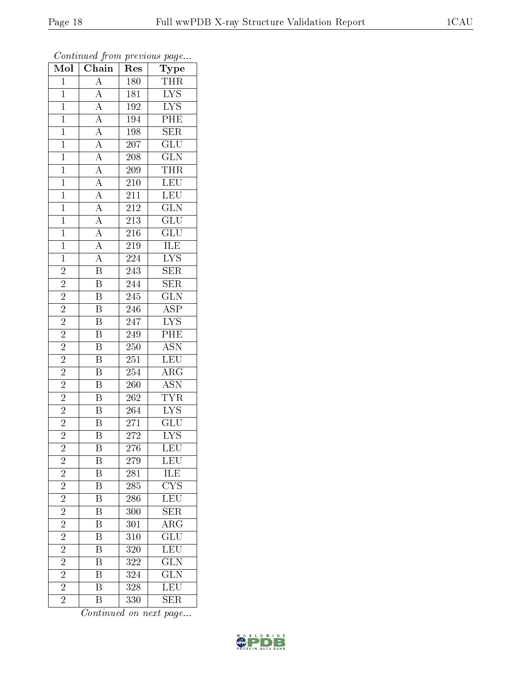| Mol            | Chain                                                                                                                                                                                                                                     | Res              | $\mathrm{\bar{Ty}pe}$   |
|----------------|-------------------------------------------------------------------------------------------------------------------------------------------------------------------------------------------------------------------------------------------|------------------|-------------------------|
| $\overline{1}$ |                                                                                                                                                                                                                                           | 180              | <b>THR</b>              |
| $\mathbf{1}$   |                                                                                                                                                                                                                                           | 181              | $\overline{\text{LYS}}$ |
| $\overline{1}$ |                                                                                                                                                                                                                                           | 192              | $\overline{\text{LYS}}$ |
| $\mathbf{1}$   |                                                                                                                                                                                                                                           | 194              | $\overline{\rm{PHE}}$   |
| $\overline{1}$ |                                                                                                                                                                                                                                           | 198              | $\overline{\text{SER}}$ |
| $\mathbf{1}$   |                                                                                                                                                                                                                                           | 207              | GLU                     |
| $\mathbf{1}$   |                                                                                                                                                                                                                                           | 208              | $\overline{\text{GLN}}$ |
| $\overline{1}$ |                                                                                                                                                                                                                                           | 209              | <b>THR</b>              |
| $\overline{1}$ |                                                                                                                                                                                                                                           | $210\,$          | <b>LEU</b>              |
| $\overline{1}$ |                                                                                                                                                                                                                                           | $\overline{211}$ | LEU                     |
| $\mathbf{1}$   |                                                                                                                                                                                                                                           | 212              | $\overline{\text{GLN}}$ |
| $\overline{1}$ |                                                                                                                                                                                                                                           | $\overline{213}$ | $\overline{{\rm GLU}}$  |
| $\overline{1}$ |                                                                                                                                                                                                                                           | $\overline{216}$ | $\overline{\text{GLU}}$ |
| $\overline{1}$ | $\frac{\overline{A}}{\overline{A}}\frac{\overline{A}}{\overline{A}}\frac{\overline{A}}{\overline{A}}\frac{\overline{A}}{\overline{A}}\frac{\overline{A}}{\overline{A}}\frac{\overline{A}}{\overline{A}}\frac{\overline{A}}{\overline{A}}$ | 219              | ILE<br>LYS              |
| $\overline{1}$ |                                                                                                                                                                                                                                           | 224              |                         |
| $\overline{c}$ | $\overline{\mathbf{B}}$                                                                                                                                                                                                                   | 243              | <b>SER</b>              |
| $\overline{2}$ | $\overline{B}$                                                                                                                                                                                                                            | 244              | $\overline{\text{SER}}$ |
| $\overline{c}$ | $\overline{\mathbf{B}}$                                                                                                                                                                                                                   | 245              | $\overline{\text{GLN}}$ |
| $\overline{2}$ | $\overline{\mathrm{B}}$                                                                                                                                                                                                                   | 246              | $\overline{\text{ASP}}$ |
| $\overline{2}$ | $\overline{\mathrm{B}}$                                                                                                                                                                                                                   | 247              | $\overline{\text{LYS}}$ |
| $\overline{2}$ | $\overline{\mathrm{B}}$                                                                                                                                                                                                                   | 249              | PHE                     |
| $\overline{2}$ | $\overline{\mathbf{B}}$                                                                                                                                                                                                                   | $\overline{250}$ | <b>ASN</b>              |
| $\overline{2}$ | $\overline{\mathbf{B}}$                                                                                                                                                                                                                   | 251              | LEU                     |
| $\overline{2}$ | $\overline{\mathrm{B}}$                                                                                                                                                                                                                   | $\overline{254}$ | $\overline{\rm{ARG}}$   |
| $\overline{2}$ | $\overline{\mathrm{B}}$                                                                                                                                                                                                                   | 260              | <b>ASN</b>              |
| $\overline{c}$ | $\overline{\mathbf{B}}$                                                                                                                                                                                                                   | 262              | <b>TYR</b>              |
| $\overline{2}$ | $\overline{B}$                                                                                                                                                                                                                            | 264              | $\overline{\text{LYS}}$ |
| $\overline{2}$ | $\overline{\mathrm{B}}$                                                                                                                                                                                                                   | $\sqrt{271}$     | $\overline{\text{GLU}}$ |
| $\overline{2}$ | $\overline{\mathrm{B}}$                                                                                                                                                                                                                   | 272              | $\overline{\rm LYS}$    |
| $\overline{c}$ | Β                                                                                                                                                                                                                                         | 276              | LEU                     |
| $\overline{2}$ | Β                                                                                                                                                                                                                                         | 279              | $\textrm{LEU}$          |
| $\overline{2}$ | $\overline{\mathrm{B}}$                                                                                                                                                                                                                   | 281              | <b>ILE</b>              |
| $\overline{2}$ | B                                                                                                                                                                                                                                         | 285              | $\overline{\text{CYS}}$ |
| $\overline{2}$ | $\overline{\mathrm{B}}$                                                                                                                                                                                                                   | 286              | $\overline{\text{LEU}}$ |
| $\overline{2}$ | $\overline{B}$                                                                                                                                                                                                                            | 300              | <b>SER</b>              |
| $\overline{2}$ | $\overline{\mathrm{B}}$                                                                                                                                                                                                                   | 301              | $\overline{\rm{ARG}}$   |
| $\overline{2}$ | $\overline{\mathrm{B}}$                                                                                                                                                                                                                   | 310              | $\overline{{\rm GLU}}$  |
| $\overline{2}$ | $\overline{\rm B}$                                                                                                                                                                                                                        | 320              | LEU                     |
| $\overline{2}$ | $\overline{\mathrm{B}}$                                                                                                                                                                                                                   | 322              | $\overline{\text{GLN}}$ |
| $\overline{2}$ | $\overline{\mathrm{B}}$                                                                                                                                                                                                                   | 324              | <b>GLN</b>              |
| $\overline{2}$ | $\overline{\mathrm{B}}$                                                                                                                                                                                                                   | 328              | <b>LEU</b>              |
| $\bar{2}$      | $\overline{\mathrm{B}}$                                                                                                                                                                                                                   | 330              | <b>SER</b>              |

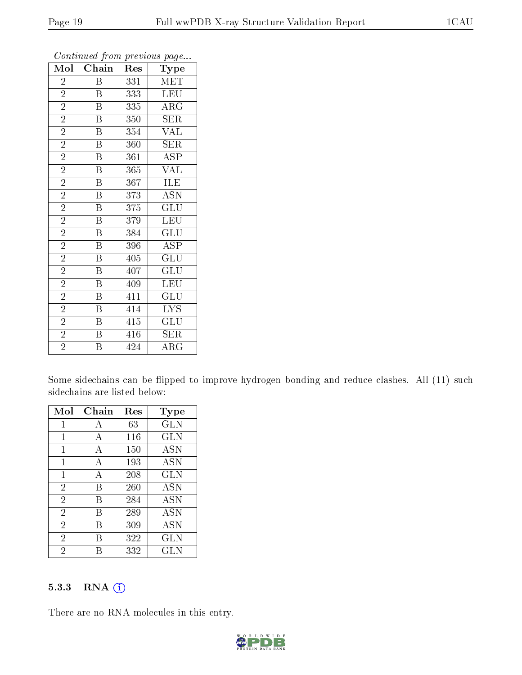| Mol            | Chain                   | Res | $\mathbf{r} \sim \mathbf{r}$<br>Type |
|----------------|-------------------------|-----|--------------------------------------|
| $\overline{2}$ | Β                       | 331 | <b>MET</b>                           |
| $\overline{2}$ | $\overline{B}$          | 333 | <b>LEU</b>                           |
| $\overline{2}$ | $\overline{\mathrm{B}}$ | 335 | $\rm{ARG}$                           |
| $\overline{2}$ | $\overline{\mathrm{B}}$ | 350 | <b>SER</b>                           |
| $\overline{2}$ | B                       | 354 | VAL                                  |
| $\overline{2}$ | $\boldsymbol{B}$        | 360 | <b>SER</b>                           |
| $\overline{2}$ | $\, {\bf B}$            | 361 | <b>ASP</b>                           |
| $\overline{2}$ | $\overline{\mathrm{B}}$ | 365 | <b>VAL</b>                           |
| $\overline{2}$ | $\boldsymbol{B}$        | 367 | <b>ILE</b>                           |
| $\overline{2}$ | B                       | 373 | <b>ASN</b>                           |
| $\overline{2}$ | $\overline{\mathrm{B}}$ | 375 | $\widetilde{{\rm GLU}}$              |
| $\overline{2}$ | $\overline{\mathrm{B}}$ | 379 | $L\overline{EU}$                     |
| $\overline{2}$ | $\overline{\mathrm{B}}$ | 384 | GLU                                  |
| $\overline{2}$ | $\boldsymbol{B}$        | 396 | <b>ASP</b>                           |
| $\overline{2}$ | Β                       | 405 | GLU                                  |
| $\overline{2}$ | $\overline{\mathrm{B}}$ | 407 | GLU                                  |
| $\overline{2}$ | $\overline{\mathrm{B}}$ | 409 | <b>LEU</b>                           |
| $\overline{2}$ | Β                       | 411 | GLU                                  |
| $\overline{2}$ | $\overline{\mathrm{B}}$ | 414 | <b>LYS</b>                           |
| $\overline{2}$ | $\overline{\mathrm{B}}$ | 415 | $\overline{\text{GLU}}$              |
| $\overline{2}$ | $\overline{\mathrm{B}}$ | 416 | <b>SER</b>                           |
| $\overline{2}$ | B                       | 424 | ${\rm ARG}$                          |

Some sidechains can be flipped to improve hydrogen bonding and reduce clashes. All (11) such sidechains are listed below:

| Mol            | Chain | Res | Type       |
|----------------|-------|-----|------------|
| 1              | А     | 63  | <b>GLN</b> |
| 1              | А     | 116 | GLN        |
| 1              | A     | 150 | <b>ASN</b> |
| $\mathbf{1}$   | A     | 193 | <b>ASN</b> |
| $\mathbf{1}$   | A     | 208 | <b>GLN</b> |
| $\overline{2}$ | В     | 260 | <b>ASN</b> |
| $\overline{2}$ | В     | 284 | <b>ASN</b> |
| $\overline{2}$ | В     | 289 | <b>ASN</b> |
| $\overline{2}$ | В     | 309 | <b>ASN</b> |
| $\overline{2}$ | В     | 322 | <b>GLN</b> |
| $\overline{2}$ | R     | 332 | GLN        |

#### 5.3.3 RNA (i)

There are no RNA molecules in this entry.

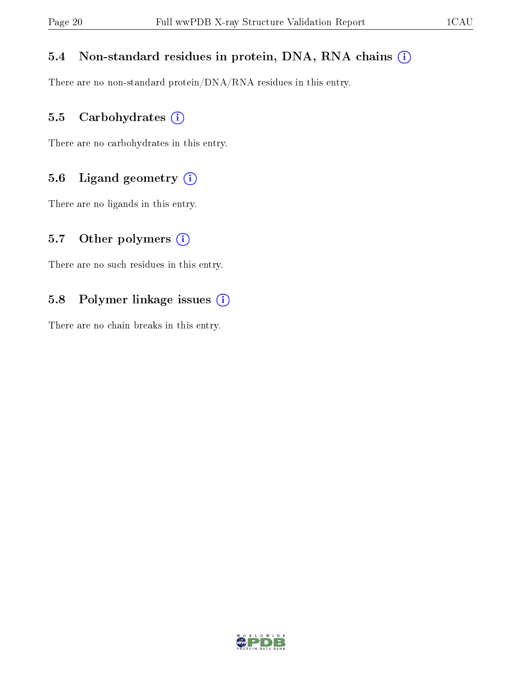#### 5.4 Non-standard residues in protein, DNA, RNA chains (i)

There are no non-standard protein/DNA/RNA residues in this entry.

#### 5.5 Carbohydrates (i)

There are no carbohydrates in this entry.

#### 5.6 Ligand geometry (i)

There are no ligands in this entry.

#### 5.7 [O](https://www.wwpdb.org/validation/2017/XrayValidationReportHelp#nonstandard_residues_and_ligands)ther polymers  $(i)$

There are no such residues in this entry.

#### 5.8 Polymer linkage issues (i)

There are no chain breaks in this entry.